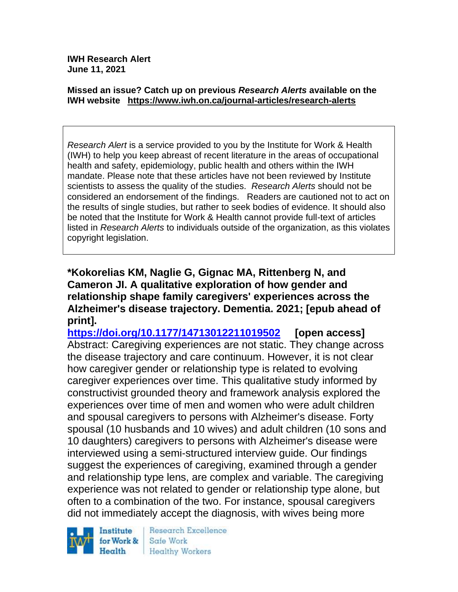**IWH Research Alert June 11, 2021**

#### **Missed an issue? Catch up on previous** *Research Alerts* **available on the [IWH website](http://www.iwh.on.ca/research-alerts) <https://www.iwh.on.ca/journal-articles/research-alerts>**

*Research Alert* is a service provided to you by the Institute for Work & Health (IWH) to help you keep abreast of recent literature in the areas of occupational health and safety, epidemiology, public health and others within the IWH mandate. Please note that these articles have not been reviewed by Institute scientists to assess the quality of the studies. *Research Alerts* should not be considered an endorsement of the findings. Readers are cautioned not to act on the results of single studies, but rather to seek bodies of evidence. It should also be noted that the Institute for Work & Health cannot provide full-text of articles listed in *Research Alerts* to individuals outside of the organization, as this violates copyright legislation.

**\*Kokorelias KM, Naglie G, Gignac MA, Rittenberg N, and Cameron JI. A qualitative exploration of how gender and relationship shape family caregivers' experiences across the Alzheimer's disease trajectory. Dementia. 2021; [epub ahead of print].**

**<https://doi.org/10.1177/14713012211019502>[open access]** Abstract: Caregiving experiences are not static. They change across the disease trajectory and care continuum. However, it is not clear how caregiver gender or relationship type is related to evolving caregiver experiences over time. This qualitative study informed by constructivist grounded theory and framework analysis explored the experiences over time of men and women who were adult children and spousal caregivers to persons with Alzheimer's disease. Forty spousal (10 husbands and 10 wives) and adult children (10 sons and 10 daughters) caregivers to persons with Alzheimer's disease were interviewed using a semi-structured interview guide. Our findings suggest the experiences of caregiving, examined through a gender and relationship type lens, are complex and variable. The caregiving experience was not related to gender or relationship type alone, but often to a combination of the two. For instance, spousal caregivers did not immediately accept the diagnosis, with wives being more

Institute for Work & Health

Research Excellence Safe Work Healthy Workers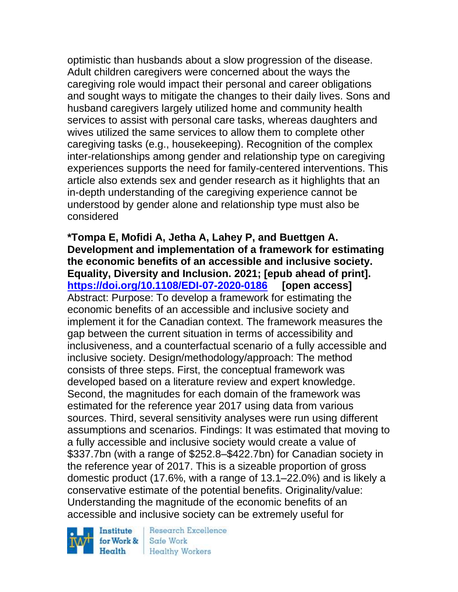optimistic than husbands about a slow progression of the disease. Adult children caregivers were concerned about the ways the caregiving role would impact their personal and career obligations and sought ways to mitigate the changes to their daily lives. Sons and husband caregivers largely utilized home and community health services to assist with personal care tasks, whereas daughters and wives utilized the same services to allow them to complete other caregiving tasks (e.g., housekeeping). Recognition of the complex inter-relationships among gender and relationship type on caregiving experiences supports the need for family-centered interventions. This article also extends sex and gender research as it highlights that an in-depth understanding of the caregiving experience cannot be understood by gender alone and relationship type must also be considered

**\*Tompa E, Mofidi A, Jetha A, Lahey P, and Buettgen A. Development and implementation of a framework for estimating the economic benefits of an accessible and inclusive society. Equality, Diversity and Inclusion. 2021; [epub ahead of print]. <https://doi.org/10.1108/EDI-07-2020-0186>[open access]** Abstract: Purpose: To develop a framework for estimating the economic benefits of an accessible and inclusive society and implement it for the Canadian context. The framework measures the gap between the current situation in terms of accessibility and inclusiveness, and a counterfactual scenario of a fully accessible and inclusive society. Design/methodology/approach: The method consists of three steps. First, the conceptual framework was developed based on a literature review and expert knowledge. Second, the magnitudes for each domain of the framework was estimated for the reference year 2017 using data from various sources. Third, several sensitivity analyses were run using different assumptions and scenarios. Findings: It was estimated that moving to a fully accessible and inclusive society would create a value of \$337.7bn (with a range of \$252.8–\$422.7bn) for Canadian society in the reference year of 2017. This is a sizeable proportion of gross domestic product (17.6%, with a range of 13.1–22.0%) and is likely a conservative estimate of the potential benefits. Originality/value: Understanding the magnitude of the economic benefits of an accessible and inclusive society can be extremely useful for

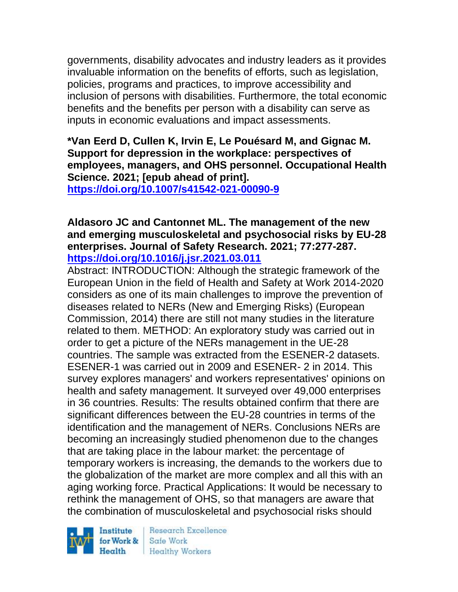governments, disability advocates and industry leaders as it provides invaluable information on the benefits of efforts, such as legislation, policies, programs and practices, to improve accessibility and inclusion of persons with disabilities. Furthermore, the total economic benefits and the benefits per person with a disability can serve as inputs in economic evaluations and impact assessments.

**\*Van Eerd D, Cullen K, Irvin E, Le Pouésard M, and Gignac M. Support for depression in the workplace: perspectives of employees, managers, and OHS personnel. Occupational Health Science. 2021; [epub ahead of print].**

**<https://doi.org/10.1007/s41542-021-00090-9>**

#### **Aldasoro JC and Cantonnet ML. The management of the new and emerging musculoskeletal and psychosocial risks by EU-28 enterprises. Journal of Safety Research. 2021; 77:277-287. <https://doi.org/10.1016/j.jsr.2021.03.011>**

Abstract: INTRODUCTION: Although the strategic framework of the European Union in the field of Health and Safety at Work 2014-2020 considers as one of its main challenges to improve the prevention of diseases related to NERs (New and Emerging Risks) (European Commission, 2014) there are still not many studies in the literature related to them. METHOD: An exploratory study was carried out in order to get a picture of the NERs management in the UE-28 countries. The sample was extracted from the ESENER-2 datasets. ESENER-1 was carried out in 2009 and ESENER- 2 in 2014. This survey explores managers' and workers representatives' opinions on health and safety management. It surveyed over 49,000 enterprises in 36 countries. Results: The results obtained confirm that there are significant differences between the EU-28 countries in terms of the identification and the management of NERs. Conclusions NERs are becoming an increasingly studied phenomenon due to the changes that are taking place in the labour market: the percentage of temporary workers is increasing, the demands to the workers due to the globalization of the market are more complex and all this with an aging working force. Practical Applications: It would be necessary to rethink the management of OHS, so that managers are aware that the combination of musculoskeletal and psychosocial risks should

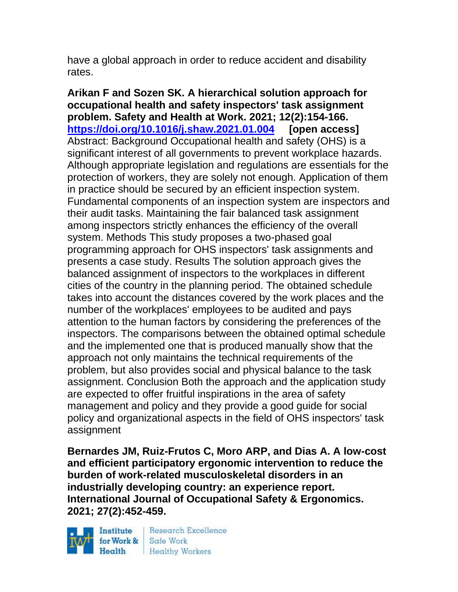have a global approach in order to reduce accident and disability rates.

**Arikan F and Sozen SK. A hierarchical solution approach for occupational health and safety inspectors' task assignment problem. Safety and Health at Work. 2021; 12(2):154-166. <https://doi.org/10.1016/j.shaw.2021.01.004>[open access]** Abstract: Background Occupational health and safety (OHS) is a significant interest of all governments to prevent workplace hazards. Although appropriate legislation and regulations are essentials for the protection of workers, they are solely not enough. Application of them in practice should be secured by an efficient inspection system. Fundamental components of an inspection system are inspectors and their audit tasks. Maintaining the fair balanced task assignment among inspectors strictly enhances the efficiency of the overall system. Methods This study proposes a two-phased goal programming approach for OHS inspectors' task assignments and presents a case study. Results The solution approach gives the balanced assignment of inspectors to the workplaces in different cities of the country in the planning period. The obtained schedule takes into account the distances covered by the work places and the number of the workplaces' employees to be audited and pays attention to the human factors by considering the preferences of the inspectors. The comparisons between the obtained optimal schedule and the implemented one that is produced manually show that the approach not only maintains the technical requirements of the problem, but also provides social and physical balance to the task assignment. Conclusion Both the approach and the application study are expected to offer fruitful inspirations in the area of safety management and policy and they provide a good guide for social policy and organizational aspects in the field of OHS inspectors' task assignment

**Bernardes JM, Ruiz-Frutos C, Moro ARP, and Dias A. A low-cost and efficient participatory ergonomic intervention to reduce the burden of work-related musculoskeletal disorders in an industrially developing country: an experience report. International Journal of Occupational Safety & Ergonomics. 2021; 27(2):452-459.** 

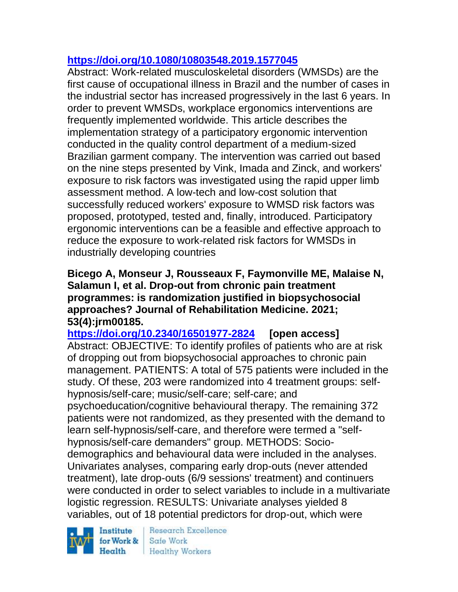## **<https://doi.org/10.1080/10803548.2019.1577045>**

Abstract: Work-related musculoskeletal disorders (WMSDs) are the first cause of occupational illness in Brazil and the number of cases in the industrial sector has increased progressively in the last 6 years. In order to prevent WMSDs, workplace ergonomics interventions are frequently implemented worldwide. This article describes the implementation strategy of a participatory ergonomic intervention conducted in the quality control department of a medium-sized Brazilian garment company. The intervention was carried out based on the nine steps presented by Vink, Imada and Zinck, and workers' exposure to risk factors was investigated using the rapid upper limb assessment method. A low-tech and low-cost solution that successfully reduced workers' exposure to WMSD risk factors was proposed, prototyped, tested and, finally, introduced. Participatory ergonomic interventions can be a feasible and effective approach to reduce the exposure to work-related risk factors for WMSDs in industrially developing countries

#### **Bicego A, Monseur J, Rousseaux F, Faymonville ME, Malaise N, Salamun I, et al. Drop-out from chronic pain treatment programmes: is randomization justified in biopsychosocial approaches? Journal of Rehabilitation Medicine. 2021; 53(4):jrm00185.**

**<https://doi.org/10.2340/16501977-2824>[open access]** Abstract: OBJECTIVE: To identify profiles of patients who are at risk of dropping out from biopsychosocial approaches to chronic pain management. PATIENTS: A total of 575 patients were included in the study. Of these, 203 were randomized into 4 treatment groups: selfhypnosis/self-care; music/self-care; self-care; and psychoeducation/cognitive behavioural therapy. The remaining 372 patients were not randomized, as they presented with the demand to learn self-hypnosis/self-care, and therefore were termed a "selfhypnosis/self-care demanders" group. METHODS: Sociodemographics and behavioural data were included in the analyses. Univariates analyses, comparing early drop-outs (never attended treatment), late drop-outs (6/9 sessions' treatment) and continuers were conducted in order to select variables to include in a multivariate logistic regression. RESULTS: Univariate analyses yielded 8 variables, out of 18 potential predictors for drop-out, which were

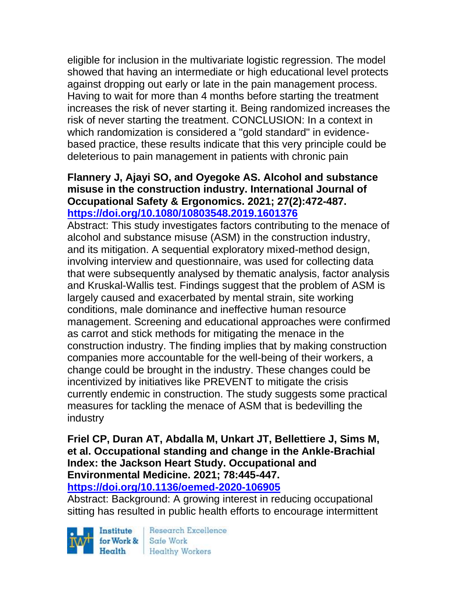eligible for inclusion in the multivariate logistic regression. The model showed that having an intermediate or high educational level protects against dropping out early or late in the pain management process. Having to wait for more than 4 months before starting the treatment increases the risk of never starting it. Being randomized increases the risk of never starting the treatment. CONCLUSION: In a context in which randomization is considered a "gold standard" in evidencebased practice, these results indicate that this very principle could be deleterious to pain management in patients with chronic pain

#### **Flannery J, Ajayi SO, and Oyegoke AS. Alcohol and substance misuse in the construction industry. International Journal of Occupational Safety & Ergonomics. 2021; 27(2):472-487. <https://doi.org/10.1080/10803548.2019.1601376>**

Abstract: This study investigates factors contributing to the menace of alcohol and substance misuse (ASM) in the construction industry, and its mitigation. A sequential exploratory mixed-method design, involving interview and questionnaire, was used for collecting data that were subsequently analysed by thematic analysis, factor analysis and Kruskal-Wallis test. Findings suggest that the problem of ASM is largely caused and exacerbated by mental strain, site working conditions, male dominance and ineffective human resource management. Screening and educational approaches were confirmed as carrot and stick methods for mitigating the menace in the construction industry. The finding implies that by making construction companies more accountable for the well-being of their workers, a change could be brought in the industry. These changes could be incentivized by initiatives like PREVENT to mitigate the crisis currently endemic in construction. The study suggests some practical measures for tackling the menace of ASM that is bedevilling the industry

## **Friel CP, Duran AT, Abdalla M, Unkart JT, Bellettiere J, Sims M, et al. Occupational standing and change in the Ankle-Brachial Index: the Jackson Heart Study. Occupational and Environmental Medicine. 2021; 78:445-447.**

**<https://doi.org/10.1136/oemed-2020-106905>**

Abstract: Background: A growing interest in reducing occupational sitting has resulted in public health efforts to encourage intermittent

Institute for Work & Safe Work

Research Excellence Health Healthy Workers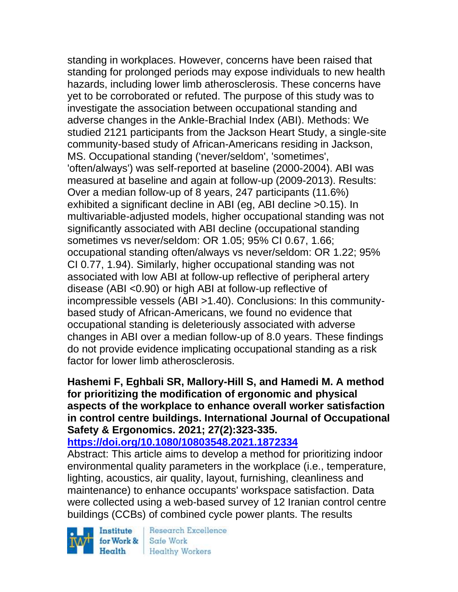standing in workplaces. However, concerns have been raised that standing for prolonged periods may expose individuals to new health hazards, including lower limb atherosclerosis. These concerns have yet to be corroborated or refuted. The purpose of this study was to investigate the association between occupational standing and adverse changes in the Ankle-Brachial Index (ABI). Methods: We studied 2121 participants from the Jackson Heart Study, a single-site community-based study of African-Americans residing in Jackson, MS. Occupational standing ('never/seldom', 'sometimes', 'often/always') was self-reported at baseline (2000-2004). ABI was measured at baseline and again at follow-up (2009-2013). Results: Over a median follow-up of 8 years, 247 participants (11.6%) exhibited a significant decline in ABI (eg, ABI decline >0.15). In multivariable-adjusted models, higher occupational standing was not significantly associated with ABI decline (occupational standing sometimes vs never/seldom: OR 1.05; 95% CI 0.67, 1.66; occupational standing often/always vs never/seldom: OR 1.22; 95% CI 0.77, 1.94). Similarly, higher occupational standing was not associated with low ABI at follow-up reflective of peripheral artery disease (ABI <0.90) or high ABI at follow-up reflective of incompressible vessels (ABI >1.40). Conclusions: In this communitybased study of African-Americans, we found no evidence that occupational standing is deleteriously associated with adverse changes in ABI over a median follow-up of 8.0 years. These findings do not provide evidence implicating occupational standing as a risk factor for lower limb atherosclerosis.

### **Hashemi F, Eghbali SR, Mallory-Hill S, and Hamedi M. A method for prioritizing the modification of ergonomic and physical aspects of the workplace to enhance overall worker satisfaction in control centre buildings. International Journal of Occupational Safety & Ergonomics. 2021; 27(2):323-335.**

## **<https://doi.org/10.1080/10803548.2021.1872334>**

Abstract: This article aims to develop a method for prioritizing indoor environmental quality parameters in the workplace (i.e., temperature, lighting, acoustics, air quality, layout, furnishing, cleanliness and maintenance) to enhance occupants' workspace satisfaction. Data were collected using a web-based survey of 12 Iranian control centre buildings (CCBs) of combined cycle power plants. The results

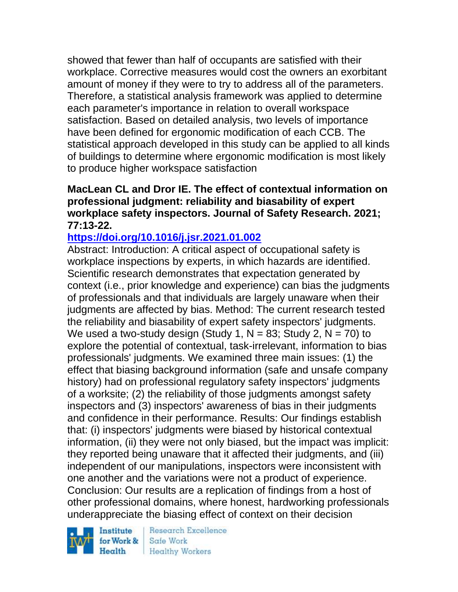showed that fewer than half of occupants are satisfied with their workplace. Corrective measures would cost the owners an exorbitant amount of money if they were to try to address all of the parameters. Therefore, a statistical analysis framework was applied to determine each parameter's importance in relation to overall workspace satisfaction. Based on detailed analysis, two levels of importance have been defined for ergonomic modification of each CCB. The statistical approach developed in this study can be applied to all kinds of buildings to determine where ergonomic modification is most likely to produce higher workspace satisfaction

#### **MacLean CL and Dror IE. The effect of contextual information on professional judgment: reliability and biasability of expert workplace safety inspectors. Journal of Safety Research. 2021; 77:13-22.**

## **<https://doi.org/10.1016/j.jsr.2021.01.002>**

Abstract: Introduction: A critical aspect of occupational safety is workplace inspections by experts, in which hazards are identified. Scientific research demonstrates that expectation generated by context (i.e., prior knowledge and experience) can bias the judgments of professionals and that individuals are largely unaware when their judgments are affected by bias. Method: The current research tested the reliability and biasability of expert safety inspectors' judgments. We used a two-study design (Study 1,  $N = 83$ ; Study 2,  $N = 70$ ) to explore the potential of contextual, task-irrelevant, information to bias professionals' judgments. We examined three main issues: (1) the effect that biasing background information (safe and unsafe company history) had on professional regulatory safety inspectors' judgments of a worksite; (2) the reliability of those judgments amongst safety inspectors and (3) inspectors' awareness of bias in their judgments and confidence in their performance. Results: Our findings establish that: (i) inspectors' judgments were biased by historical contextual information, (ii) they were not only biased, but the impact was implicit: they reported being unaware that it affected their judgments, and (iii) independent of our manipulations, inspectors were inconsistent with one another and the variations were not a product of experience. Conclusion: Our results are a replication of findings from a host of other professional domains, where honest, hardworking professionals underappreciate the biasing effect of context on their decision

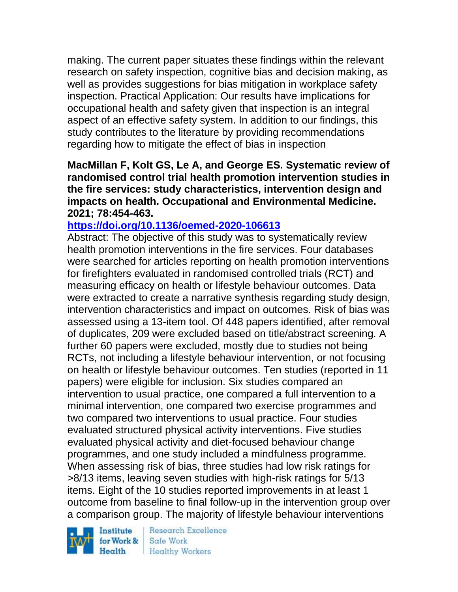making. The current paper situates these findings within the relevant research on safety inspection, cognitive bias and decision making, as well as provides suggestions for bias mitigation in workplace safety inspection. Practical Application: Our results have implications for occupational health and safety given that inspection is an integral aspect of an effective safety system. In addition to our findings, this study contributes to the literature by providing recommendations regarding how to mitigate the effect of bias in inspection

**MacMillan F, Kolt GS, Le A, and George ES. Systematic review of randomised control trial health promotion intervention studies in the fire services: study characteristics, intervention design and impacts on health. Occupational and Environmental Medicine. 2021; 78:454-463.** 

## **<https://doi.org/10.1136/oemed-2020-106613>**

Abstract: The objective of this study was to systematically review health promotion interventions in the fire services. Four databases were searched for articles reporting on health promotion interventions for firefighters evaluated in randomised controlled trials (RCT) and measuring efficacy on health or lifestyle behaviour outcomes. Data were extracted to create a narrative synthesis regarding study design, intervention characteristics and impact on outcomes. Risk of bias was assessed using a 13-item tool. Of 448 papers identified, after removal of duplicates, 209 were excluded based on title/abstract screening. A further 60 papers were excluded, mostly due to studies not being RCTs, not including a lifestyle behaviour intervention, or not focusing on health or lifestyle behaviour outcomes. Ten studies (reported in 11 papers) were eligible for inclusion. Six studies compared an intervention to usual practice, one compared a full intervention to a minimal intervention, one compared two exercise programmes and two compared two interventions to usual practice. Four studies evaluated structured physical activity interventions. Five studies evaluated physical activity and diet-focused behaviour change programmes, and one study included a mindfulness programme. When assessing risk of bias, three studies had low risk ratings for >8/13 items, leaving seven studies with high-risk ratings for 5/13 items. Eight of the 10 studies reported improvements in at least 1 outcome from baseline to final follow-up in the intervention group over a comparison group. The majority of lifestyle behaviour interventions

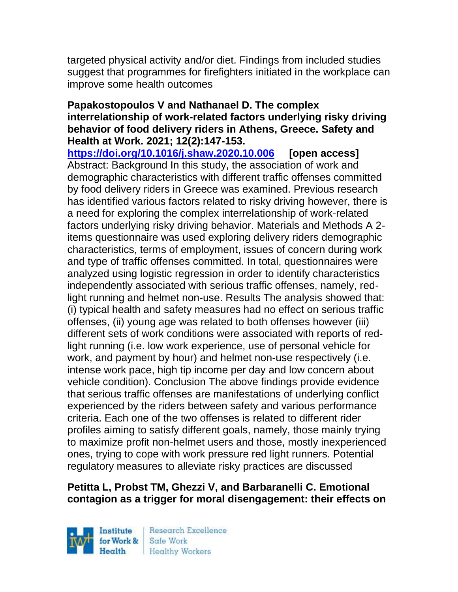targeted physical activity and/or diet. Findings from included studies suggest that programmes for firefighters initiated in the workplace can improve some health outcomes

#### **Papakostopoulos V and Nathanael D. The complex interrelationship of work-related factors underlying risky driving behavior of food delivery riders in Athens, Greece. Safety and Health at Work. 2021; 12(2):147-153.**

**<https://doi.org/10.1016/j.shaw.2020.10.006>[open access]** Abstract: Background In this study, the association of work and demographic characteristics with different traffic offenses committed by food delivery riders in Greece was examined. Previous research has identified various factors related to risky driving however, there is a need for exploring the complex interrelationship of work-related factors underlying risky driving behavior. Materials and Methods A 2 items questionnaire was used exploring delivery riders demographic characteristics, terms of employment, issues of concern during work and type of traffic offenses committed. In total, questionnaires were analyzed using logistic regression in order to identify characteristics independently associated with serious traffic offenses, namely, redlight running and helmet non-use. Results The analysis showed that: (i) typical health and safety measures had no effect on serious traffic offenses, (ii) young age was related to both offenses however (iii) different sets of work conditions were associated with reports of redlight running (i.e. low work experience, use of personal vehicle for work, and payment by hour) and helmet non-use respectively (i.e. intense work pace, high tip income per day and low concern about vehicle condition). Conclusion The above findings provide evidence that serious traffic offenses are manifestations of underlying conflict experienced by the riders between safety and various performance criteria. Each one of the two offenses is related to different rider profiles aiming to satisfy different goals, namely, those mainly trying to maximize profit non-helmet users and those, mostly inexperienced ones, trying to cope with work pressure red light runners. Potential regulatory measures to alleviate risky practices are discussed

## **Petitta L, Probst TM, Ghezzi V, and Barbaranelli C. Emotional contagion as a trigger for moral disengagement: their effects on**

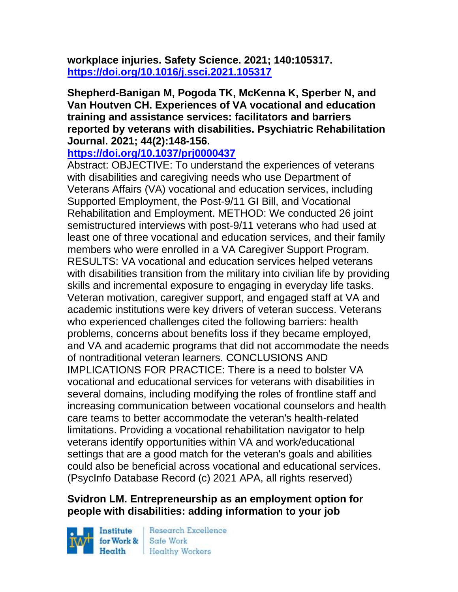**workplace injuries. Safety Science. 2021; 140:105317. <https://doi.org/10.1016/j.ssci.2021.105317>**

**Shepherd-Banigan M, Pogoda TK, McKenna K, Sperber N, and Van Houtven CH. Experiences of VA vocational and education training and assistance services: facilitators and barriers reported by veterans with disabilities. Psychiatric Rehabilitation Journal. 2021; 44(2):148-156.** 

**<https://doi.org/10.1037/prj0000437>**

Abstract: OBJECTIVE: To understand the experiences of veterans with disabilities and caregiving needs who use Department of Veterans Affairs (VA) vocational and education services, including Supported Employment, the Post-9/11 GI Bill, and Vocational Rehabilitation and Employment. METHOD: We conducted 26 joint semistructured interviews with post-9/11 veterans who had used at least one of three vocational and education services, and their family members who were enrolled in a VA Caregiver Support Program. RESULTS: VA vocational and education services helped veterans with disabilities transition from the military into civilian life by providing skills and incremental exposure to engaging in everyday life tasks. Veteran motivation, caregiver support, and engaged staff at VA and academic institutions were key drivers of veteran success. Veterans who experienced challenges cited the following barriers: health problems, concerns about benefits loss if they became employed, and VA and academic programs that did not accommodate the needs of nontraditional veteran learners. CONCLUSIONS AND IMPLICATIONS FOR PRACTICE: There is a need to bolster VA vocational and educational services for veterans with disabilities in several domains, including modifying the roles of frontline staff and increasing communication between vocational counselors and health care teams to better accommodate the veteran's health-related limitations. Providing a vocational rehabilitation navigator to help veterans identify opportunities within VA and work/educational settings that are a good match for the veteran's goals and abilities could also be beneficial across vocational and educational services. (PsycInfo Database Record (c) 2021 APA, all rights reserved)

## **Svidron LM. Entrepreneurship as an employment option for people with disabilities: adding information to your job**

Institute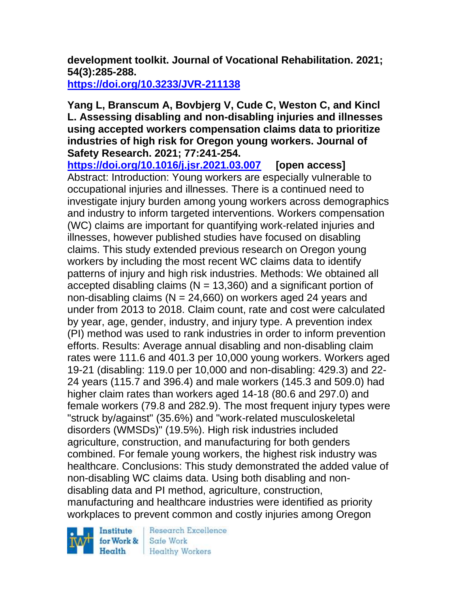# **development toolkit. Journal of Vocational Rehabilitation. 2021; 54(3):285-288.**

**<https://doi.org/10.3233/JVR-211138>**

#### **Yang L, Branscum A, Bovbjerg V, Cude C, Weston C, and Kincl L. Assessing disabling and non-disabling injuries and illnesses using accepted workers compensation claims data to prioritize industries of high risk for Oregon young workers. Journal of Safety Research. 2021; 77:241-254.**

**<https://doi.org/10.1016/j.jsr.2021.03.007>[open access]** Abstract: Introduction: Young workers are especially vulnerable to occupational injuries and illnesses. There is a continued need to investigate injury burden among young workers across demographics and industry to inform targeted interventions. Workers compensation (WC) claims are important for quantifying work-related injuries and illnesses, however published studies have focused on disabling claims. This study extended previous research on Oregon young workers by including the most recent WC claims data to identify patterns of injury and high risk industries. Methods: We obtained all accepted disabling claims ( $N = 13,360$ ) and a significant portion of non-disabling claims ( $N = 24,660$ ) on workers aged 24 years and under from 2013 to 2018. Claim count, rate and cost were calculated by year, age, gender, industry, and injury type. A prevention index (PI) method was used to rank industries in order to inform prevention efforts. Results: Average annual disabling and non-disabling claim rates were 111.6 and 401.3 per 10,000 young workers. Workers aged 19-21 (disabling: 119.0 per 10,000 and non-disabling: 429.3) and 22- 24 years (115.7 and 396.4) and male workers (145.3 and 509.0) had higher claim rates than workers aged 14-18 (80.6 and 297.0) and female workers (79.8 and 282.9). The most frequent injury types were "struck by/against" (35.6%) and "work-related musculoskeletal disorders (WMSDs)" (19.5%). High risk industries included agriculture, construction, and manufacturing for both genders combined. For female young workers, the highest risk industry was healthcare. Conclusions: This study demonstrated the added value of non-disabling WC claims data. Using both disabling and nondisabling data and PI method, agriculture, construction, manufacturing and healthcare industries were identified as priority workplaces to prevent common and costly injuries among Oregon

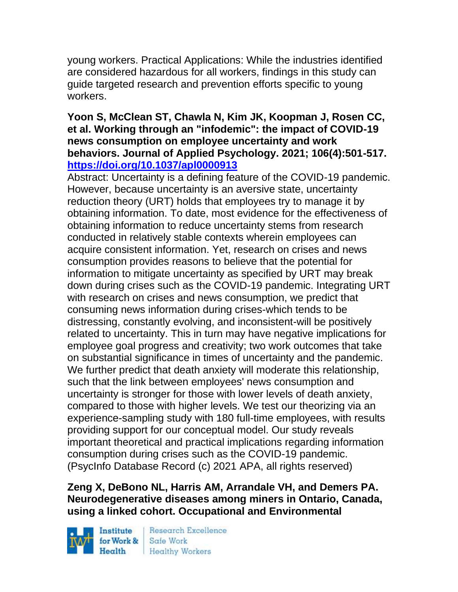young workers. Practical Applications: While the industries identified are considered hazardous for all workers, findings in this study can guide targeted research and prevention efforts specific to young workers.

#### **Yoon S, McClean ST, Chawla N, Kim JK, Koopman J, Rosen CC, et al. Working through an "infodemic": the impact of COVID-19 news consumption on employee uncertainty and work behaviors. Journal of Applied Psychology. 2021; 106(4):501-517. <https://doi.org/10.1037/apl0000913>**

Abstract: Uncertainty is a defining feature of the COVID-19 pandemic. However, because uncertainty is an aversive state, uncertainty reduction theory (URT) holds that employees try to manage it by obtaining information. To date, most evidence for the effectiveness of obtaining information to reduce uncertainty stems from research conducted in relatively stable contexts wherein employees can acquire consistent information. Yet, research on crises and news consumption provides reasons to believe that the potential for information to mitigate uncertainty as specified by URT may break down during crises such as the COVID-19 pandemic. Integrating URT with research on crises and news consumption, we predict that consuming news information during crises-which tends to be distressing, constantly evolving, and inconsistent-will be positively related to uncertainty. This in turn may have negative implications for employee goal progress and creativity; two work outcomes that take on substantial significance in times of uncertainty and the pandemic. We further predict that death anxiety will moderate this relationship, such that the link between employees' news consumption and uncertainty is stronger for those with lower levels of death anxiety, compared to those with higher levels. We test our theorizing via an experience-sampling study with 180 full-time employees, with results providing support for our conceptual model. Our study reveals important theoretical and practical implications regarding information consumption during crises such as the COVID-19 pandemic. (PsycInfo Database Record (c) 2021 APA, all rights reserved)

## **Zeng X, DeBono NL, Harris AM, Arrandale VH, and Demers PA. Neurodegenerative diseases among miners in Ontario, Canada, using a linked cohort. Occupational and Environmental**

Institute